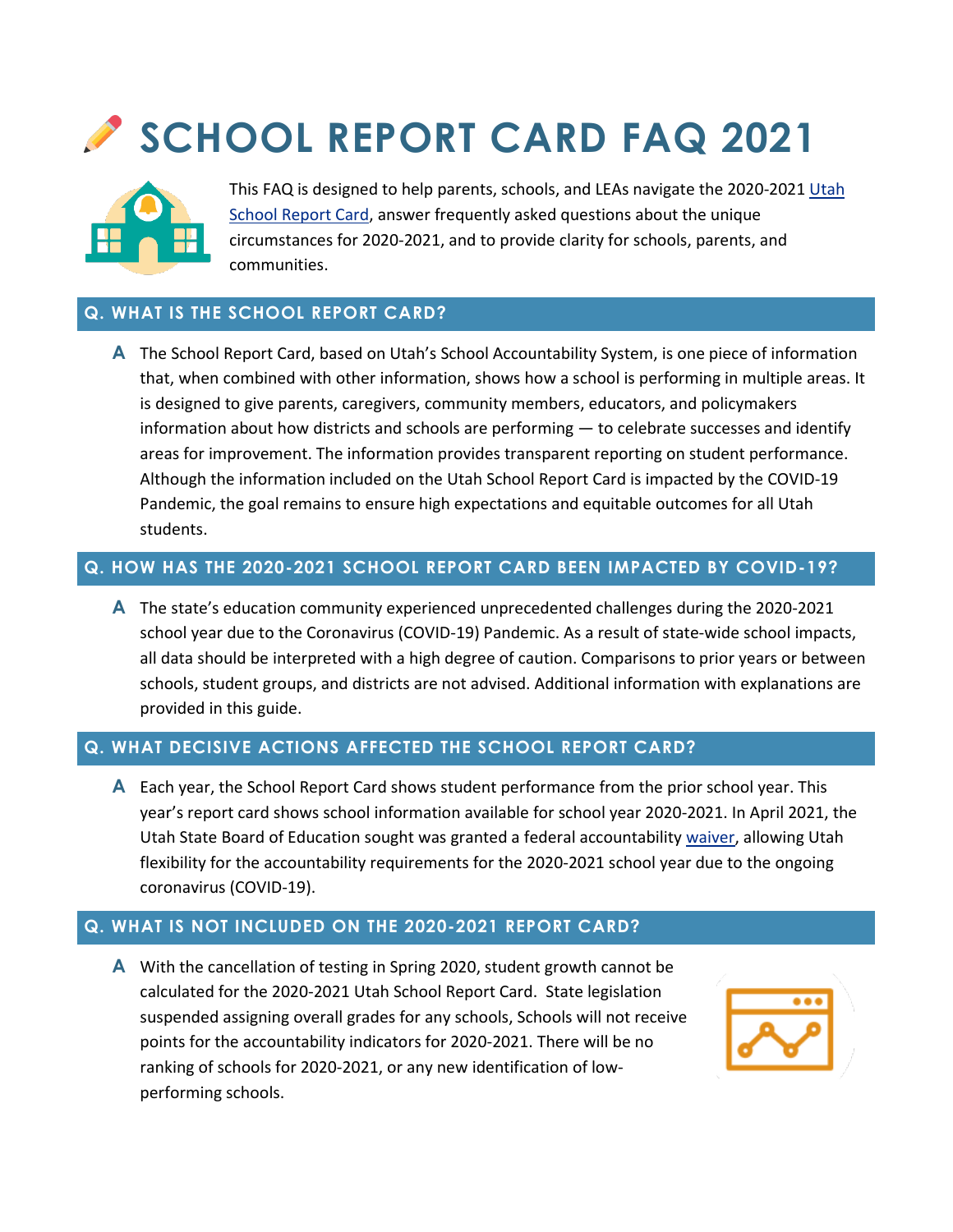# **SCHOOL REPORT CARD FAQ 2021**



This FAQ is designed to help parents, schools, and LEAs navigate the 2020-2021 Utah School Report Card, answer frequently asked questions about the unique circumstances for 2020-2021, and to provide clarity for schools, parents, and communities.

## **Q. WHAT IS THE SCHOOL REPORT CARD?**

**A** The School Report Card, based on Utah's School Accountability System, is one piece of information that, when combined with other information, shows how a school is performing in multiple areas. It is designed to give parents, caregivers, community members, educators, and policymakers information about how districts and schools are performing — to celebrate successes and identify areas for improvement. The information provides transparent reporting on student performance. Although the information included on the Utah School Report Card is impacted by the COVID-19 Pandemic, the goal remains to ensure high expectations and equitable outcomes for all Utah students.

## **Q. HOW HAS THE 2020-2021 SCHOOL REPORT CARD BEEN IMPACTED BY COVID-19?**

**A** The state's education community experienced unprecedented challenges during the 2020-2021 school year due to the Coronavirus (COVID-19) Pandemic. As a result of state-wide school impacts, all data should be interpreted with a high degree of caution. Comparisons to prior years or between schools, student groups, and districts are not advised. Additional information with explanations are provided in this guide.

# **Q. WHAT DECISIVE ACTIONS AFFECTED THE SCHOOL REPORT CARD?**

**A** Each year, the School Report Card shows student performance from the prior school year. This year's report card shows school information available for school year 2020-2021. In April 2021, the Utah State Board of Education sought was granted a federal accountability [waiver,](https://schools.utah.gov/file/829f7300-020d-456e-85ac-49e85ef0795a) allowing Utah flexibility for the accountability requirements for the 2020-2021 school year due to the ongoing coronavirus (COVID-19).

# **Q. WHAT IS NOT INCLUDED ON THE 2020-2021 REPORT CARD?**

**A** With the cancellation of testing in Spring 2020, student growth cannot be calculated for the 2020-2021 Utah School Report Card. State legislation suspended assigning overall grades for any schools, Schools will not receive points for the accountability indicators for 2020-2021. There will be no ranking of schools for 2020-2021, or any new identification of lowperforming schools.

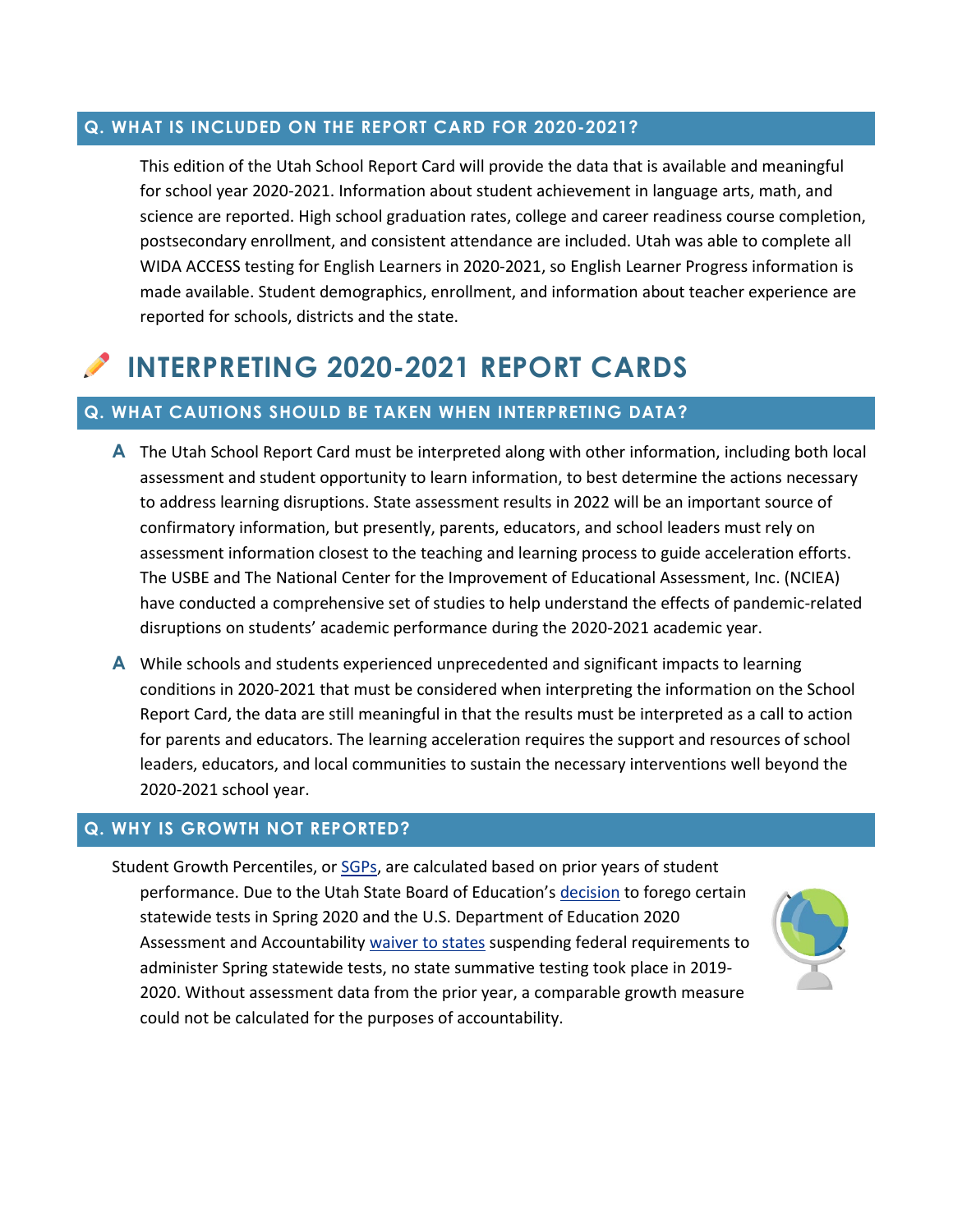#### **Q. WHAT IS INCLUDED ON THE REPORT CARD FOR 2020-2021?**

This edition of the Utah School Report Card will provide the data that is available and meaningful for school year 2020-2021. Information about student achievement in language arts, math, and science are reported. High school graduation rates, college and career readiness course completion, postsecondary enrollment, and consistent attendance are included. Utah was able to complete all WIDA ACCESS testing for English Learners in 2020-2021, so English Learner Progress information is made available. Student demographics, enrollment, and information about teacher experience are reported for schools, districts and the state.

# **INTERPRETING 2020-2021 REPORT CARDS**

#### **Q. WHAT CAUTIONS SHOULD BE TAKEN WHEN INTERPRETING DATA?**

- **A** The Utah School Report Card must be interpreted along with other information, including both local assessment and student opportunity to learn information, to best determine the actions necessary to address learning disruptions. State assessment results in 2022 will be an important source of confirmatory information, but presently, parents, educators, and school leaders must rely on assessment information closest to the teaching and learning process to guide acceleration efforts. The USBE and The National Center for the Improvement of Educational Assessment, Inc. (NCIEA) have conducted a comprehensive set of studies to help [understand the effects of pandemic-related](https://schools.utah.gov/file/b3c018ec-ccbb-4565-8199-248646c79524)  [disruptions on students' academic performance](https://schools.utah.gov/file/b3c018ec-ccbb-4565-8199-248646c79524) during the 2020-2021 academic year.
- **A** While schools and students experienced unprecedented and significant impacts to learning conditions in 2020-2021 that must be considered when interpreting the information on the School Report Card, the data are still meaningful in that the results must be interpreted as a call to action for parents and educators. The learning acceleration requires the support and resources of school leaders, educators, and local communities to sustain the necessary interventions well beyond the 2020-2021 school year.

#### **Q. WHY IS GROWTH NOT REPORTED?**

Student Growth Percentiles, or [SGPs,](https://www.youtube.com/watch?v=nCb5ZgGaKA4&ab_channel=USBEAssessment) are calculated based on prior years of student performance. Due to the Utah State Board of Education's [decision](https://schools.utah.gov/file/40c9cf6a-90f7-42c3-a2e4-995674a3b922) to forego certain statewide tests in Spring 2020 and the U.S. Department of Education 2020 Assessment and Accountability [waiver to states](https://schools.utah.gov/file/3f001fd5-1770-45bf-9967-198961f2286f) suspending federal requirements to administer Spring statewide tests, no state summative testing took place in 2019- 2020. Without assessment data from the prior year, a comparable growth measure could not be calculated for the purposes of accountability.

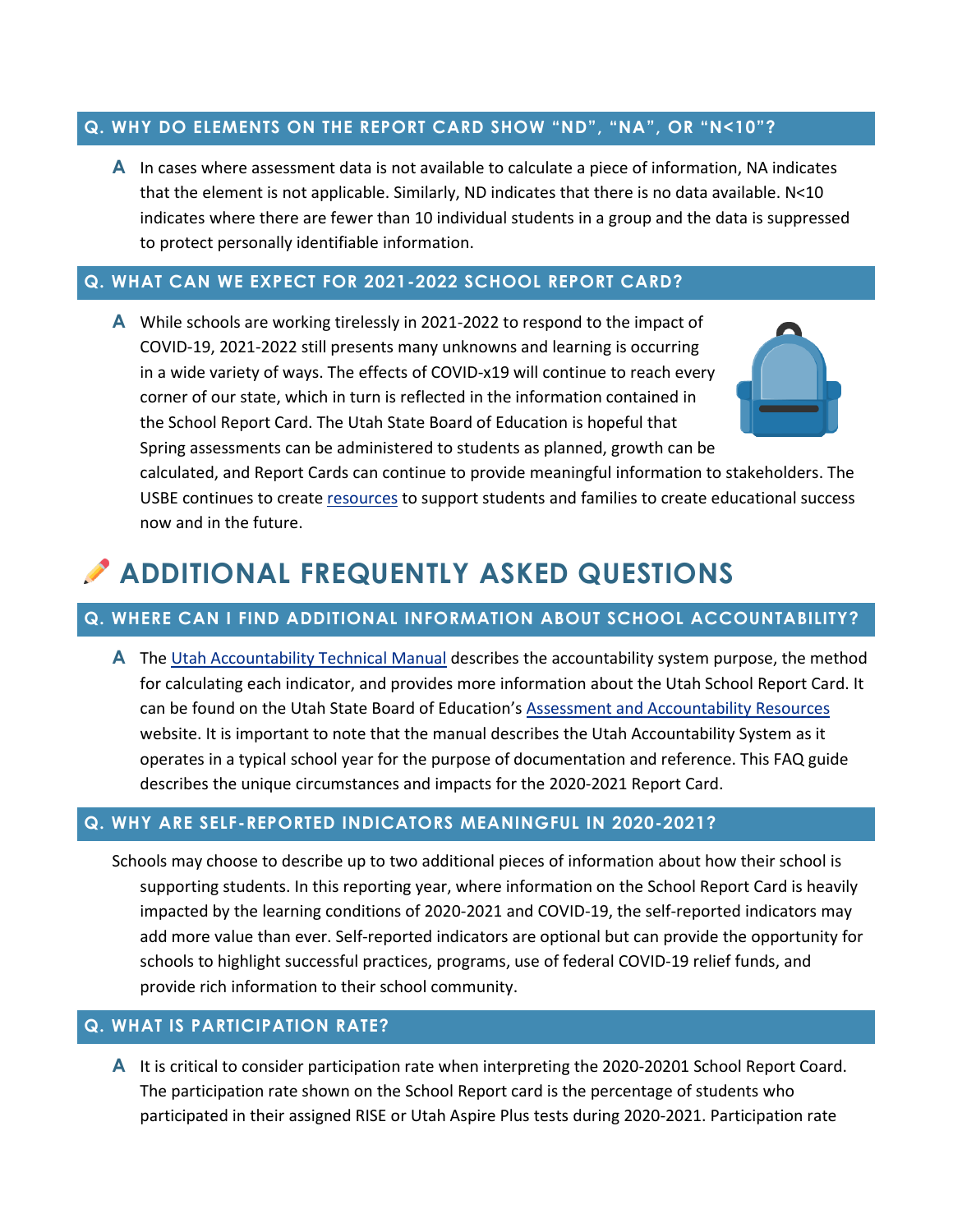#### **Q. WHY DO ELEMENTS ON THE REPORT CARD SHOW "ND", "NA", OR "N<10"?**

**A** In cases where assessment data is not available to calculate a piece of information, NA indicates that the element is not applicable. Similarly, ND indicates that there is no data available. N<10 indicates where there are fewer than 10 individual students in a group and the data is suppressed to protect personally identifiable information.

#### **Q. WHAT CAN WE EXPECT FOR 2021-2022 SCHOOL REPORT CARD?**

**A** While schools are working tirelessly in 2021-2022 to respond to the impact of COVID-19, 2021-2022 still presents many unknowns and learning is occurring in a wide variety of ways. The effects of COVID-x19 will continue to reach every corner of our state, which in turn is reflected in the information contained in the School Report Card. The Utah State Board of Education is hopeful that Spring assessments can be administered to students as planned, growth can be calculated, and Report Cards can continue to provide meaningful information to stakeholders. The USBE continues to create [resources](https://schools.utah.gov/coronavirus) to support students and families to create educational success now and in the future.

# **ADDITIONAL FREQUENTLY ASKED QUESTIONS**

# **Q. WHERE CAN I FIND ADDITIONAL INFORMATION ABOUT SCHOOL ACCOUNTABILITY?**

**A** The [Utah Accountability Technical Manual](https://schools.utah.gov/file/ba4f83a5-0537-4f0c-b0c4-4a34c8e7c9aa) describes the accountability system purpose, the method for calculating each indicator, and provides more information about the Utah School Report Card. It can be found on the Utah State Board of Education's [Assessment and Accountability Resources](https://schools.utah.gov/assessment/resources) website. It is important to note that the manual describes the Utah Accountability System as it operates in a typical school year for the purpose of documentation and reference. This FAQ guide describes the unique circumstances and impacts for the 2020-2021 Report Card.

#### **Q. WHY ARE SELF-REPORTED INDICATORS MEANINGFUL IN 2020-2021?**

Schools may choose to describe up to two additional pieces of information about how their school is supporting students. In this reporting year, where information on the School Report Card is heavily impacted by the learning conditions of 2020-2021 and COVID-19, the self-reported indicators may add more value than ever. Self-reported indicators are optional but can provide the opportunity for schools to highlight successful practices, programs, use of federal COVID-19 relief funds, and provide rich information to their school community.

## **Q. WHAT IS PARTICIPATION RATE?**

**A** It is critical to consider participation rate when interpreting the 2020-20201 School Report Coard. The participation rate shown on the School Report card is the percentage of students who participated in their assigned RISE or Utah Aspire Plus tests during 2020-2021. Participation rate